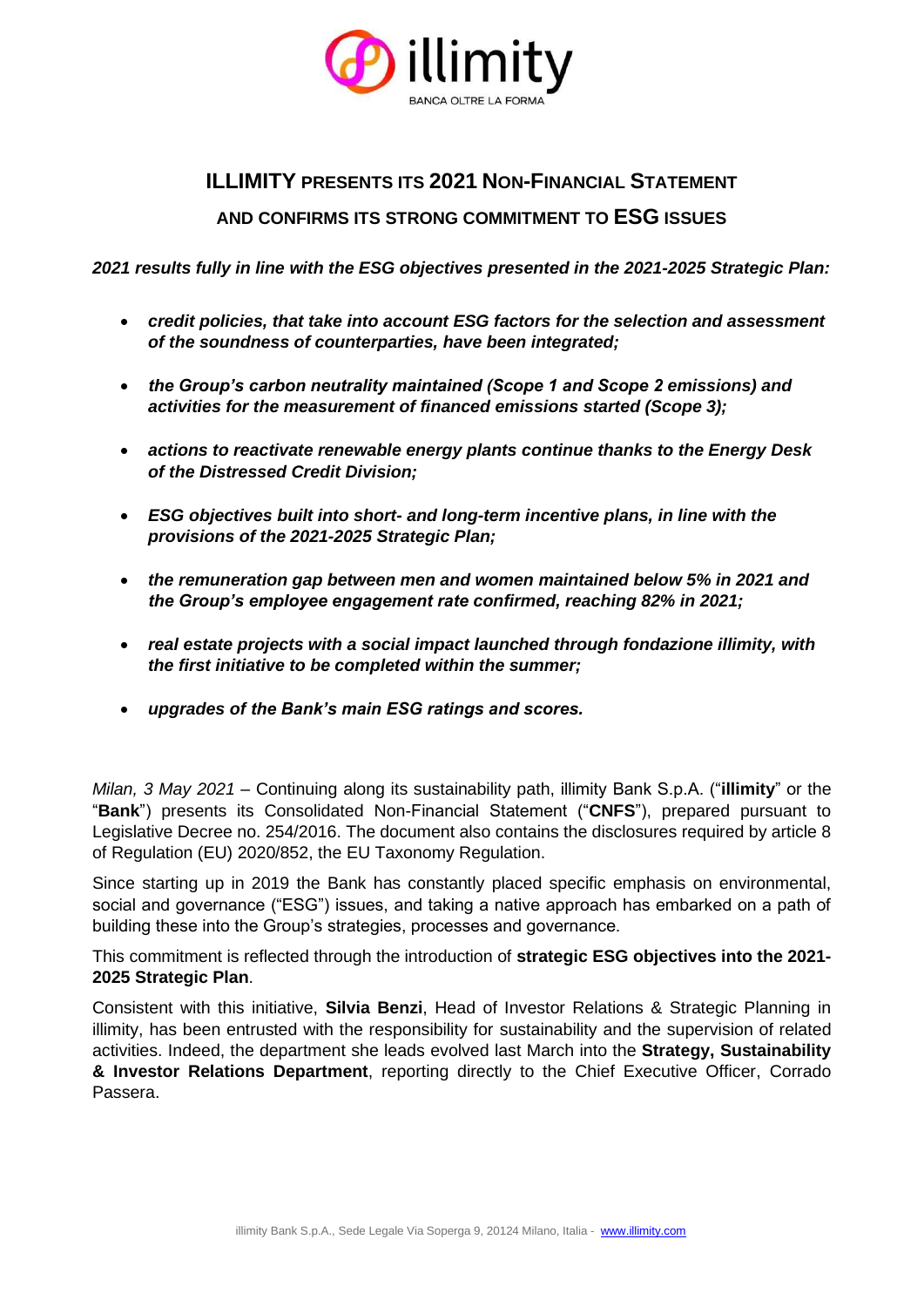

# **ILLIMITY PRESENTS ITS 2021 NON-FINANCIAL STATEMENT**

# **AND CONFIRMS ITS STRONG COMMITMENT TO ESG ISSUES**

*2021 results fully in line with the ESG objectives presented in the 2021-2025 Strategic Plan:* 

- *credit policies, that take into account ESG factors for the selection and assessment of the soundness of counterparties, have been integrated;*
- *the Group's carbon neutrality maintained (Scope 1 and Scope 2 emissions) and activities for the measurement of financed emissions started (Scope 3);*
- *actions to reactivate renewable energy plants continue thanks to the Energy Desk of the Distressed Credit Division;*
- *ESG objectives built into short- and long-term incentive plans, in line with the provisions of the 2021-2025 Strategic Plan;*
- *the remuneration gap between men and women maintained below 5% in 2021 and the Group's employee engagement rate confirmed, reaching 82% in 2021;*
- *real estate projects with a social impact launched through fondazione illimity, with the first initiative to be completed within the summer;*
- *upgrades of the Bank's main ESG ratings and scores.*

*Milan, 3 May 2021* – Continuing along its sustainability path, illimity Bank S.p.A. ("**illimity**" or the "**Bank**") presents its Consolidated Non-Financial Statement ("**CNFS**"), prepared pursuant to Legislative Decree no. 254/2016. The document also contains the disclosures required by article 8 of Regulation (EU) 2020/852, the EU Taxonomy Regulation.

Since starting up in 2019 the Bank has constantly placed specific emphasis on environmental, social and governance ("ESG") issues, and taking a native approach has embarked on a path of building these into the Group's strategies, processes and governance.

This commitment is reflected through the introduction of **strategic ESG objectives into the 2021- 2025 Strategic Plan**.

Consistent with this initiative, **Silvia Benzi**, Head of Investor Relations & Strategic Planning in illimity, has been entrusted with the responsibility for sustainability and the supervision of related activities. Indeed, the department she leads evolved last March into the **Strategy, Sustainability & Investor Relations Department**, reporting directly to the Chief Executive Officer, Corrado Passera.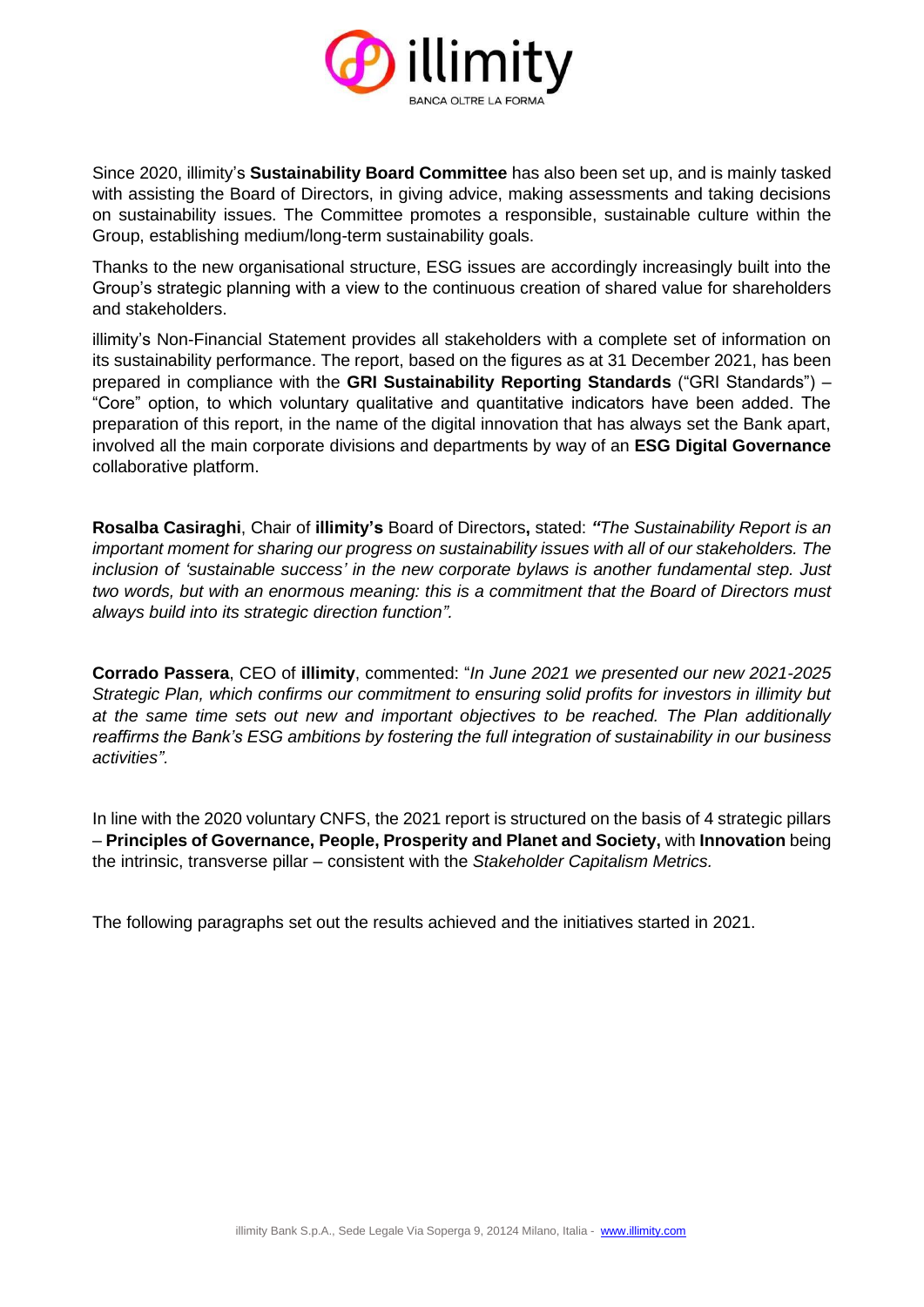

Since 2020, illimity's **Sustainability Board Committee** has also been set up, and is mainly tasked with assisting the Board of Directors, in giving advice, making assessments and taking decisions on sustainability issues. The Committee promotes a responsible, sustainable culture within the Group, establishing medium/long-term sustainability goals.

Thanks to the new organisational structure, ESG issues are accordingly increasingly built into the Group's strategic planning with a view to the continuous creation of shared value for shareholders and stakeholders.

illimity's Non-Financial Statement provides all stakeholders with a complete set of information on its sustainability performance. The report, based on the figures as at 31 December 2021, has been prepared in compliance with the **GRI Sustainability Reporting Standards** ("GRI Standards") – "Core" option, to which voluntary qualitative and quantitative indicators have been added. The preparation of this report, in the name of the digital innovation that has always set the Bank apart, involved all the main corporate divisions and departments by way of an **ESG Digital Governance**  collaborative platform.

**Rosalba Casiraghi**, Chair of **illimity's** Board of Directors**,** stated: *"The Sustainability Report is an important moment for sharing our progress on sustainability issues with all of our stakeholders. The inclusion of 'sustainable success' in the new corporate bylaws is another fundamental step. Just two words, but with an enormous meaning: this is a commitment that the Board of Directors must always build into its strategic direction function".*

**Corrado Passera**, CEO of **illimity**, commented: "*In June 2021 we presented our new 2021-2025 Strategic Plan, which confirms our commitment to ensuring solid profits for investors in illimity but at the same time sets out new and important objectives to be reached. The Plan additionally reaffirms the Bank's ESG ambitions by fostering the full integration of sustainability in our business activities".*

In line with the 2020 voluntary CNFS, the 2021 report is structured on the basis of 4 strategic pillars – **Principles of Governance, People, Prosperity and Planet and Society,** with **Innovation** being the intrinsic, transverse pillar – consistent with the *Stakeholder Capitalism Metrics.*

The following paragraphs set out the results achieved and the initiatives started in 2021.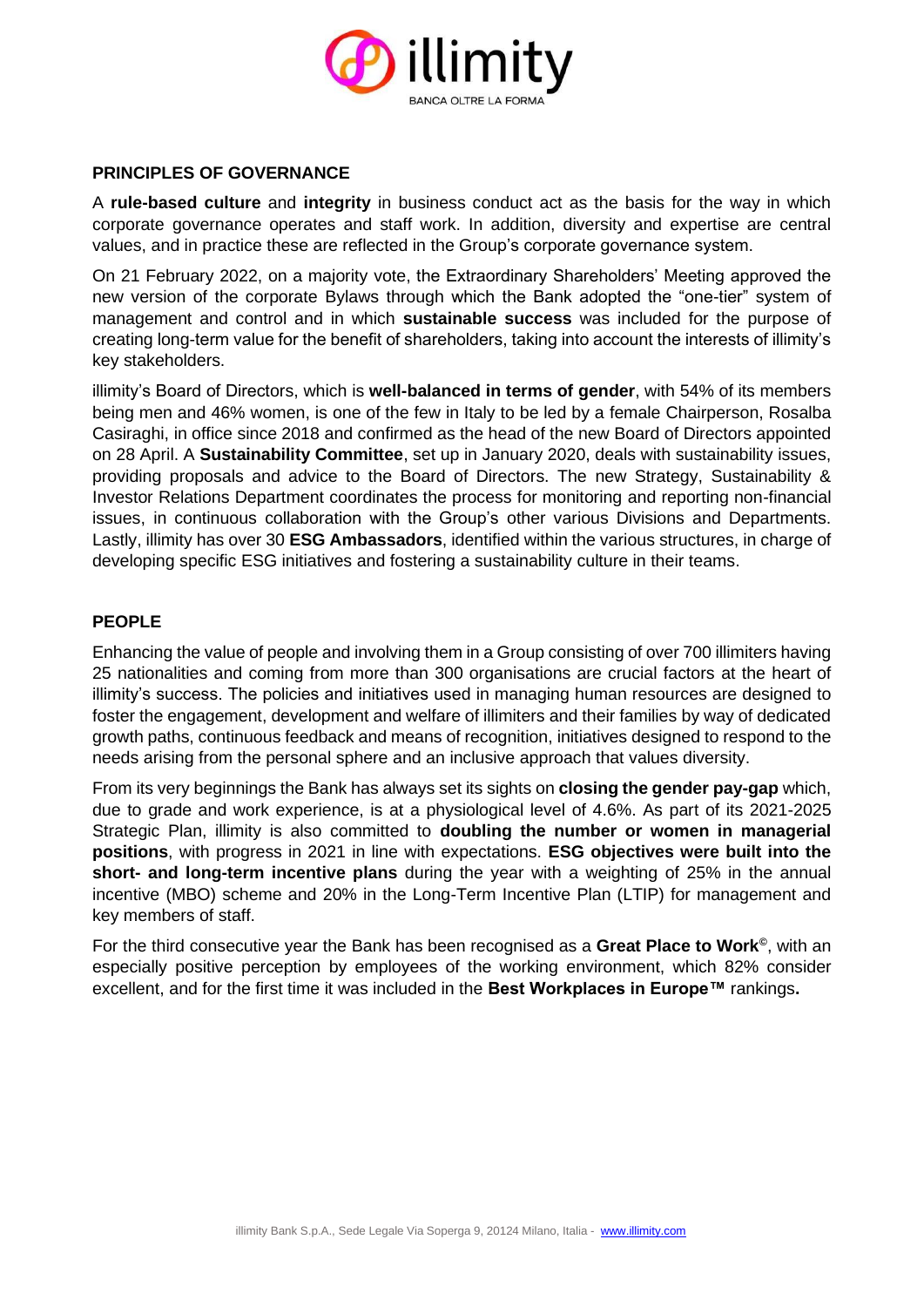

# **PRINCIPLES OF GOVERNANCE**

A **rule-based culture** and **integrity** in business conduct act as the basis for the way in which corporate governance operates and staff work. In addition, diversity and expertise are central values, and in practice these are reflected in the Group's corporate governance system.

On 21 February 2022, on a majority vote, the Extraordinary Shareholders' Meeting approved the new version of the corporate Bylaws through which the Bank adopted the "one-tier" system of management and control and in which **sustainable success** was included for the purpose of creating long-term value for the benefit of shareholders, taking into account the interests of illimity's key stakeholders.

illimity's Board of Directors, which is **well-balanced in terms of gender**, with 54% of its members being men and 46% women, is one of the few in Italy to be led by a female Chairperson, Rosalba Casiraghi, in office since 2018 and confirmed as the head of the new Board of Directors appointed on 28 April. A **Sustainability Committee**, set up in January 2020, deals with sustainability issues, providing proposals and advice to the Board of Directors. The new Strategy, Sustainability & Investor Relations Department coordinates the process for monitoring and reporting non-financial issues, in continuous collaboration with the Group's other various Divisions and Departments. Lastly, illimity has over 30 **ESG Ambassadors**, identified within the various structures, in charge of developing specific ESG initiatives and fostering a sustainability culture in their teams.

# **PEOPLE**

Enhancing the value of people and involving them in a Group consisting of over 700 illimiters having 25 nationalities and coming from more than 300 organisations are crucial factors at the heart of illimity's success. The policies and initiatives used in managing human resources are designed to foster the engagement, development and welfare of illimiters and their families by way of dedicated growth paths, continuous feedback and means of recognition, initiatives designed to respond to the needs arising from the personal sphere and an inclusive approach that values diversity.

From its very beginnings the Bank has always set its sights on **closing the gender pay-gap** which, due to grade and work experience, is at a physiological level of 4.6%. As part of its 2021-2025 Strategic Plan, illimity is also committed to **doubling the number or women in managerial positions**, with progress in 2021 in line with expectations. **ESG objectives were built into the short- and long-term incentive plans** during the year with a weighting of 25% in the annual incentive (MBO) scheme and 20% in the Long-Term Incentive Plan (LTIP) for management and key members of staff.

For the third consecutive year the Bank has been recognised as a **Great Place to Work©** , with an especially positive perception by employees of the working environment, which 82% consider excellent, and for the first time it was included in the **Best Workplaces in Europe™** rankings**.**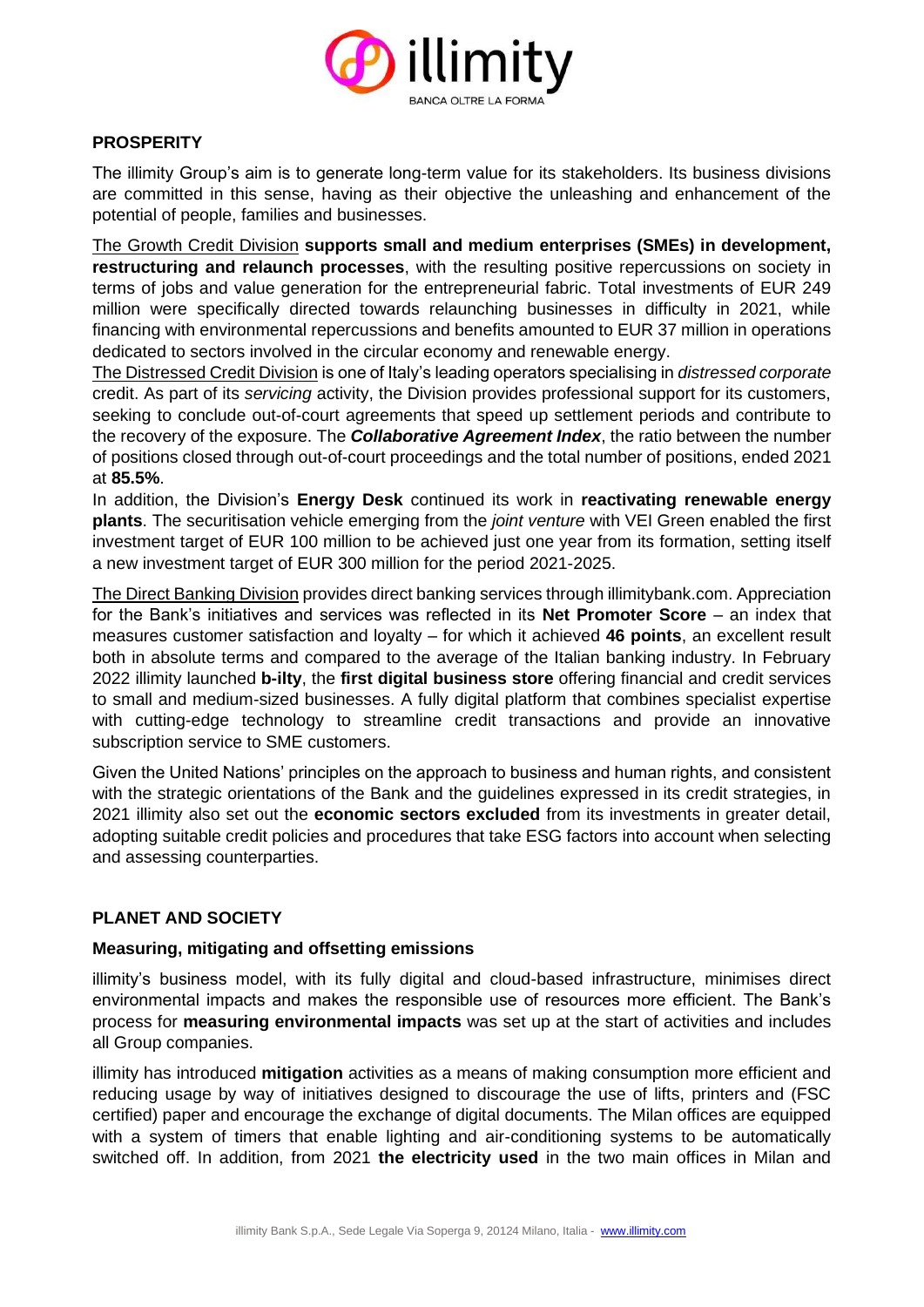

# **PROSPERITY**

The illimity Group's aim is to generate long-term value for its stakeholders. Its business divisions are committed in this sense, having as their objective the unleashing and enhancement of the potential of people, families and businesses.

The Growth Credit Division **supports small and medium enterprises (SMEs) in development, restructuring and relaunch processes**, with the resulting positive repercussions on society in terms of jobs and value generation for the entrepreneurial fabric. Total investments of EUR 249 million were specifically directed towards relaunching businesses in difficulty in 2021, while financing with environmental repercussions and benefits amounted to EUR 37 million in operations dedicated to sectors involved in the circular economy and renewable energy.

The Distressed Credit Division is one of Italy's leading operators specialising in *distressed corporate* credit. As part of its *servicing* activity, the Division provides professional support for its customers, seeking to conclude out-of-court agreements that speed up settlement periods and contribute to the recovery of the exposure. The *Collaborative Agreement Index*, the ratio between the number of positions closed through out-of-court proceedings and the total number of positions, ended 2021 at **85.5%**.

In addition, the Division's **Energy Desk** continued its work in **reactivating renewable energy plants**. The securitisation vehicle emerging from the *joint venture* with VEI Green enabled the first investment target of EUR 100 million to be achieved just one year from its formation, setting itself a new investment target of EUR 300 million for the period 2021-2025.

The Direct Banking Division provides direct banking services through illimitybank.com. Appreciation for the Bank's initiatives and services was reflected in its **Net Promoter Score** – an index that measures customer satisfaction and loyalty – for which it achieved **46 points**, an excellent result both in absolute terms and compared to the average of the Italian banking industry. In February 2022 illimity launched **b-ilty**, the **first digital business store** offering financial and credit services to small and medium-sized businesses. A fully digital platform that combines specialist expertise with cutting-edge technology to streamline credit transactions and provide an innovative subscription service to SME customers.

Given the United Nations' principles on the approach to business and human rights, and consistent with the strategic orientations of the Bank and the guidelines expressed in its credit strategies, in 2021 illimity also set out the **economic sectors excluded** from its investments in greater detail, adopting suitable credit policies and procedures that take ESG factors into account when selecting and assessing counterparties.

# **PLANET AND SOCIETY**

#### **Measuring, mitigating and offsetting emissions**

illimity's business model, with its fully digital and cloud-based infrastructure, minimises direct environmental impacts and makes the responsible use of resources more efficient. The Bank's process for **measuring environmental impacts** was set up at the start of activities and includes all Group companies.

illimity has introduced **mitigation** activities as a means of making consumption more efficient and reducing usage by way of initiatives designed to discourage the use of lifts, printers and (FSC certified) paper and encourage the exchange of digital documents. The Milan offices are equipped with a system of timers that enable lighting and air-conditioning systems to be automatically switched off. In addition, from 2021 **the electricity used** in the two main offices in Milan and